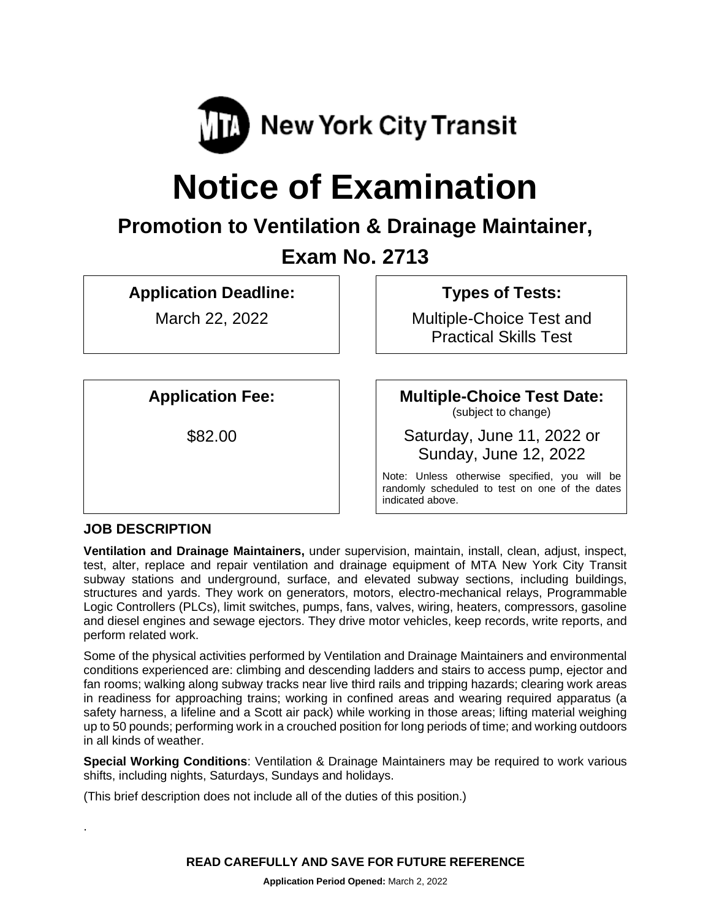

# **Notice of Examination**

# **Promotion to Ventilation & Drainage Maintainer, Exam No. 2713**

**Application Deadline:**

March 22, 2022

**Types of Tests:** 

Multiple-Choice Test and Practical Skills Test

**Application Fee:**

\$82.00

**Multiple-Choice Test Date:**

(subject to change)

Saturday, June 11, 2022 or Sunday, June 12, 2022

Note: Unless otherwise specified, you will be randomly scheduled to test on one of the dates indicated above.

# **JOB DESCRIPTION**

.

**Ventilation and Drainage Maintainers,** under supervision, maintain, install, clean, adjust, inspect, test, alter, replace and repair ventilation and drainage equipment of MTA New York City Transit subway stations and underground, surface, and elevated subway sections, including buildings, structures and yards. They work on generators, motors, electro-mechanical relays, Programmable Logic Controllers (PLCs), limit switches, pumps, fans, valves, wiring, heaters, compressors, gasoline and diesel engines and sewage ejectors. They drive motor vehicles, keep records, write reports, and perform related work.

Some of the physical activities performed by Ventilation and Drainage Maintainers and environmental conditions experienced are: climbing and descending ladders and stairs to access pump, ejector and fan rooms; walking along subway tracks near live third rails and tripping hazards; clearing work areas in readiness for approaching trains; working in confined areas and wearing required apparatus (a safety harness, a lifeline and a Scott air pack) while working in those areas; lifting material weighing up to 50 pounds; performing work in a crouched position for long periods of time; and working outdoors in all kinds of weather.

**Special Working Conditions**: Ventilation & Drainage Maintainers may be required to work various shifts, including nights, Saturdays, Sundays and holidays.

(This brief description does not include all of the duties of this position.)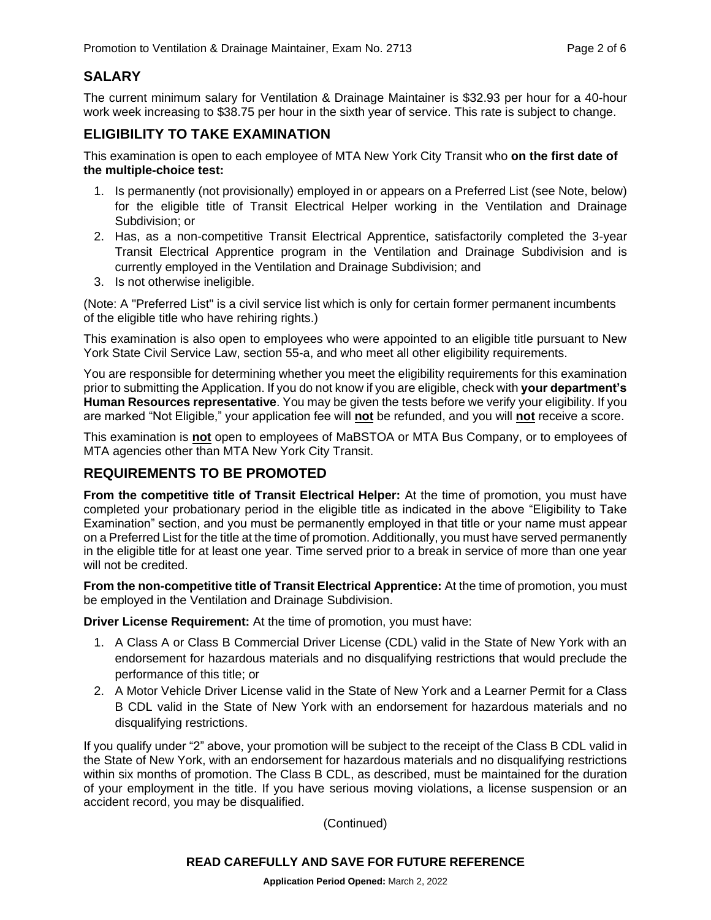# **SALARY**

The current minimum salary for Ventilation & Drainage Maintainer is \$32.93 per hour for a 40-hour work week increasing to \$38.75 per hour in the sixth year of service. This rate is subject to change.

# **ELIGIBILITY TO TAKE EXAMINATION**

This examination is open to each employee of MTA New York City Transit who **on the first date of the multiple-choice test:**

- 1. Is permanently (not provisionally) employed in or appears on a Preferred List (see Note, below) for the eligible title of Transit Electrical Helper working in the Ventilation and Drainage Subdivision; or
- 2. Has, as a non-competitive Transit Electrical Apprentice, satisfactorily completed the 3-year Transit Electrical Apprentice program in the Ventilation and Drainage Subdivision and is currently employed in the Ventilation and Drainage Subdivision; and
- 3. Is not otherwise ineligible.

(Note: A "Preferred List" is a civil service list which is only for certain former permanent incumbents of the eligible title who have rehiring rights.)

This examination is also open to employees who were appointed to an eligible title pursuant to New York State Civil Service Law, section 55-a, and who meet all other eligibility requirements.

You are responsible for determining whether you meet the eligibility requirements for this examination prior to submitting the Application. If you do not know if you are eligible, check with **your department's Human Resources representative**. You may be given the tests before we verify your eligibility. If you are marked "Not Eligible," your application fee will **not** be refunded, and you will **not** receive a score.

This examination is **not** open to employees of MaBSTOA or MTA Bus Company, or to employees of MTA agencies other than MTA New York City Transit.

# **REQUIREMENTS TO BE PROMOTED**

**From the competitive title of Transit Electrical Helper:** At the time of promotion, you must have completed your probationary period in the eligible title as indicated in the above "Eligibility to Take Examination" section, and you must be permanently employed in that title or your name must appear on a Preferred List for the title at the time of promotion. Additionally, you must have served permanently in the eligible title for at least one year. Time served prior to a break in service of more than one year will not be credited.

**From the non-competitive title of Transit Electrical Apprentice:** At the time of promotion, you must be employed in the Ventilation and Drainage Subdivision.

**Driver License Requirement:** At the time of promotion, you must have:

- 1. A Class A or Class B Commercial Driver License (CDL) valid in the State of New York with an endorsement for hazardous materials and no disqualifying restrictions that would preclude the performance of this title; or
- 2. A Motor Vehicle Driver License valid in the State of New York and a Learner Permit for a Class B CDL valid in the State of New York with an endorsement for hazardous materials and no disqualifying restrictions.

If you qualify under "2" above, your promotion will be subject to the receipt of the Class B CDL valid in the State of New York, with an endorsement for hazardous materials and no disqualifying restrictions within six months of promotion. The Class B CDL, as described, must be maintained for the duration of your employment in the title. If you have serious moving violations, a license suspension or an accident record, you may be disqualified.

(Continued)

#### **READ CAREFULLY AND SAVE FOR FUTURE REFERENCE**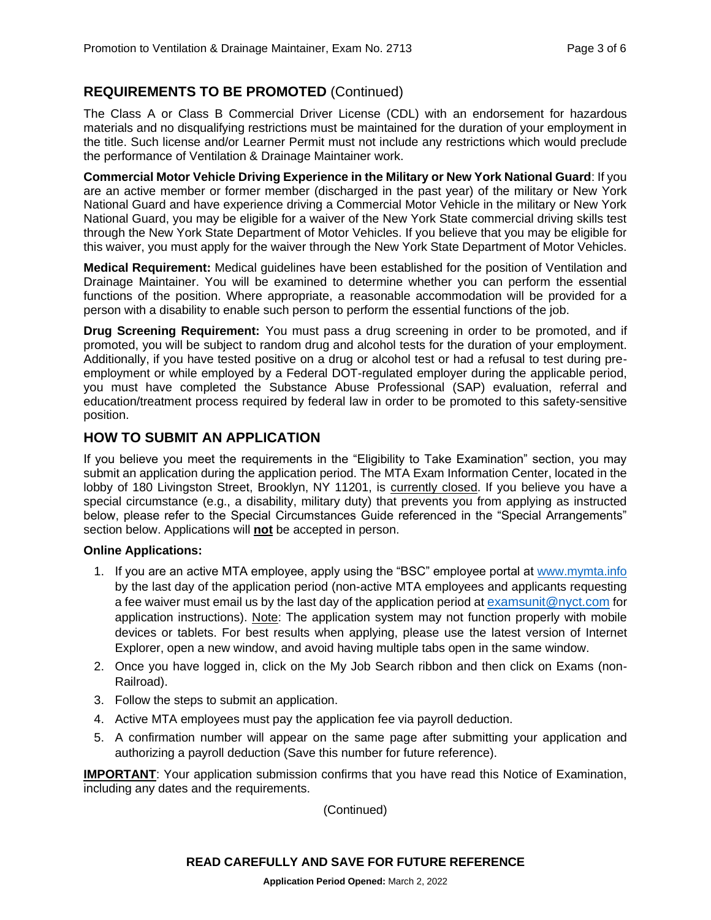# **REQUIREMENTS TO BE PROMOTED** (Continued)

The Class A or Class B Commercial Driver License (CDL) with an endorsement for hazardous materials and no disqualifying restrictions must be maintained for the duration of your employment in the title. Such license and/or Learner Permit must not include any restrictions which would preclude the performance of Ventilation & Drainage Maintainer work.

**Commercial Motor Vehicle Driving Experience in the Military or New York National Guard**: If you are an active member or former member (discharged in the past year) of the military or New York National Guard and have experience driving a Commercial Motor Vehicle in the military or New York National Guard, you may be eligible for a waiver of the New York State commercial driving skills test through the New York State Department of Motor Vehicles. If you believe that you may be eligible for this waiver, you must apply for the waiver through the New York State Department of Motor Vehicles.

**Medical Requirement:** Medical guidelines have been established for the position of Ventilation and Drainage Maintainer. You will be examined to determine whether you can perform the essential functions of the position. Where appropriate, a reasonable accommodation will be provided for a person with a disability to enable such person to perform the essential functions of the job.

**Drug Screening Requirement:** You must pass a drug screening in order to be promoted, and if promoted, you will be subject to random drug and alcohol tests for the duration of your employment. Additionally, if you have tested positive on a drug or alcohol test or had a refusal to test during preemployment or while employed by a Federal DOT-regulated employer during the applicable period, you must have completed the Substance Abuse Professional (SAP) evaluation, referral and education/treatment process required by federal law in order to be promoted to this safety-sensitive position.

# **HOW TO SUBMIT AN APPLICATION**

If you believe you meet the requirements in the "Eligibility to Take Examination" section, you may submit an application during the application period. The MTA Exam Information Center, located in the lobby of 180 Livingston Street, Brooklyn, NY 11201, is currently closed. If you believe you have a special circumstance (e.g., a disability, military duty) that prevents you from applying as instructed below, please refer to the Special Circumstances Guide referenced in the "Special Arrangements" section below. Applications will **not** be accepted in person.

#### **Online Applications:**

- 1. If you are an active MTA employee, apply using the "BSC" employee portal at [www.mymta.info](http://www.mymta.info/) by the last day of the application period (non-active MTA employees and applicants requesting a fee waiver must email us by the last day of the application period at [examsunit@nyct.com](mailto:examsunit@nyct.com) for application instructions). Note: The application system may not function properly with mobile devices or tablets. For best results when applying, please use the latest version of Internet Explorer, open a new window, and avoid having multiple tabs open in the same window.
- 2. Once you have logged in, click on the My Job Search ribbon and then click on Exams (non-Railroad).
- 3. Follow the steps to submit an application.
- 4. Active MTA employees must pay the application fee via payroll deduction.
- 5. A confirmation number will appear on the same page after submitting your application and authorizing a payroll deduction (Save this number for future reference).

**IMPORTANT**: Your application submission confirms that you have read this Notice of Examination, including any dates and the requirements.

(Continued)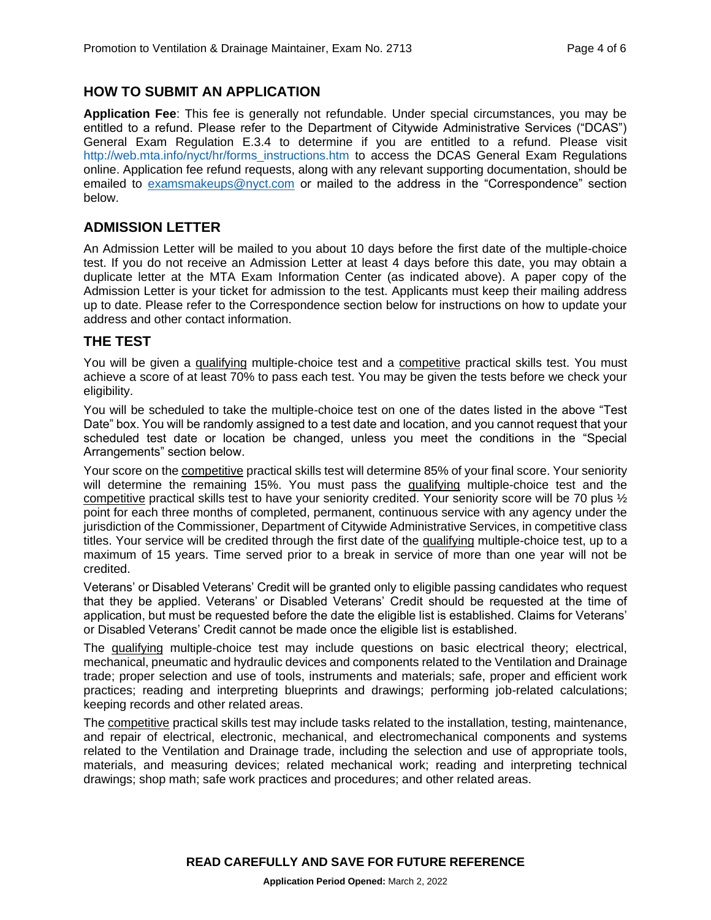#### **HOW TO SUBMIT AN APPLICATION**

**Application Fee**: This fee is generally not refundable. Under special circumstances, you may be entitled to a refund. Please refer to the Department of Citywide Administrative Services ("DCAS") General Exam Regulation E.3.4 to determine if you are entitled to a refund. Please visit [http://web.mta.info/nyct/hr/forms\\_instructions.htm](http://web.mta.info/nyct/hr/forms_instructions.htm) to access the DCAS General Exam Regulations online. Application fee refund requests, along with any relevant supporting documentation, should be emailed to [examsmakeups@nyct.com](mailto:examsmakeups@nyct.com) or mailed to the address in the "Correspondence" section below.

#### **ADMISSION LETTER**

An Admission Letter will be mailed to you about 10 days before the first date of the multiple-choice test. If you do not receive an Admission Letter at least 4 days before this date, you may obtain a duplicate letter at the MTA Exam Information Center (as indicated above). A paper copy of the Admission Letter is your ticket for admission to the test. Applicants must keep their mailing address up to date. Please refer to the Correspondence section below for instructions on how to update your address and other contact information.

#### **THE TEST**

You will be given a qualifying multiple-choice test and a competitive practical skills test. You must achieve a score of at least 70% to pass each test. You may be given the tests before we check your eligibility.

You will be scheduled to take the multiple-choice test on one of the dates listed in the above "Test Date" box. You will be randomly assigned to a test date and location, and you cannot request that your scheduled test date or location be changed, unless you meet the conditions in the "Special Arrangements" section below.

Your score on the competitive practical skills test will determine 85% of your final score. Your seniority will determine the remaining 15%. You must pass the qualifying multiple-choice test and the competitive practical skills test to have your seniority credited. Your seniority score will be 70 plus 1/2 point for each three months of completed, permanent, continuous service with any agency under the jurisdiction of the Commissioner, Department of Citywide Administrative Services, in competitive class titles. Your service will be credited through the first date of the qualifying multiple-choice test, up to a maximum of 15 years. Time served prior to a break in service of more than one year will not be credited.

Veterans' or Disabled Veterans' Credit will be granted only to eligible passing candidates who request that they be applied. Veterans' or Disabled Veterans' Credit should be requested at the time of application, but must be requested before the date the eligible list is established. Claims for Veterans' or Disabled Veterans' Credit cannot be made once the eligible list is established.

The qualifying multiple-choice test may include questions on basic electrical theory; electrical, mechanical, pneumatic and hydraulic devices and components related to the Ventilation and Drainage trade; proper selection and use of tools, instruments and materials; safe, proper and efficient work practices; reading and interpreting blueprints and drawings; performing job-related calculations; keeping records and other related areas.

The competitive practical skills test may include tasks related to the installation, testing, maintenance, and repair of electrical, electronic, mechanical, and electromechanical components and systems related to the Ventilation and Drainage trade, including the selection and use of appropriate tools, materials, and measuring devices; related mechanical work; reading and interpreting technical drawings; shop math; safe work practices and procedures; and other related areas.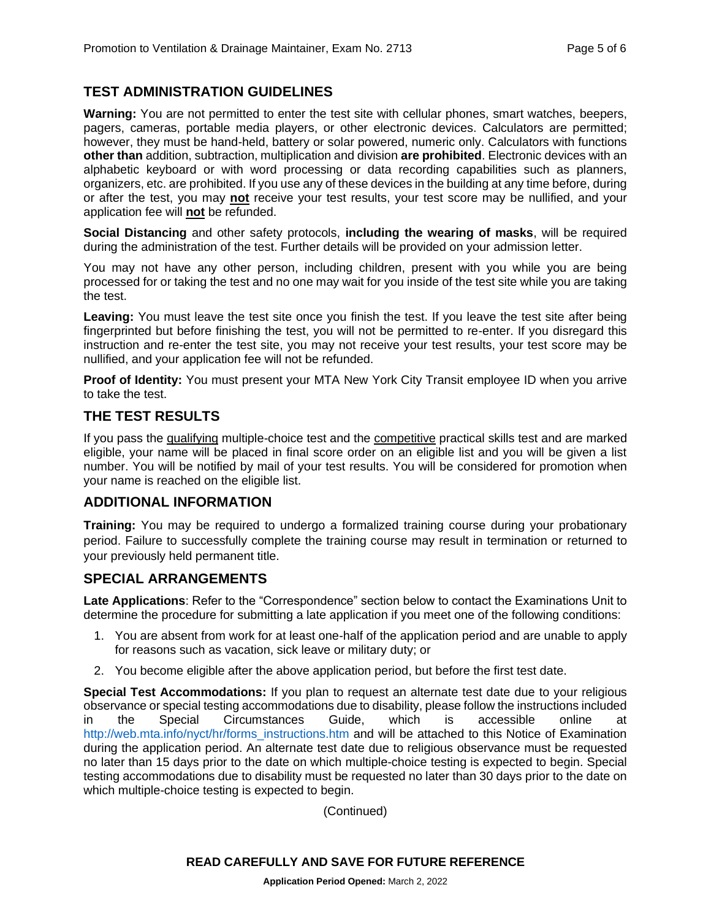# **TEST ADMINISTRATION GUIDELINES**

**Warning:** You are not permitted to enter the test site with cellular phones, smart watches, beepers, pagers, cameras, portable media players, or other electronic devices. Calculators are permitted; however, they must be hand-held, battery or solar powered, numeric only. Calculators with functions **other than** addition, subtraction, multiplication and division **are prohibited**. Electronic devices with an alphabetic keyboard or with word processing or data recording capabilities such as planners, organizers, etc. are prohibited. If you use any of these devices in the building at any time before, during or after the test, you may **not** receive your test results, your test score may be nullified, and your application fee will **not** be refunded.

**Social Distancing** and other safety protocols, **including the wearing of masks**, will be required during the administration of the test. Further details will be provided on your admission letter.

You may not have any other person, including children, present with you while you are being processed for or taking the test and no one may wait for you inside of the test site while you are taking the test.

**Leaving:** You must leave the test site once you finish the test. If you leave the test site after being fingerprinted but before finishing the test, you will not be permitted to re-enter. If you disregard this instruction and re-enter the test site, you may not receive your test results, your test score may be nullified, and your application fee will not be refunded.

**Proof of Identity:** You must present your MTA New York City Transit employee ID when you arrive to take the test.

#### **THE TEST RESULTS**

If you pass the qualifying multiple-choice test and the competitive practical skills test and are marked eligible, your name will be placed in final score order on an eligible list and you will be given a list number. You will be notified by mail of your test results. You will be considered for promotion when your name is reached on the eligible list.

#### **ADDITIONAL INFORMATION**

**Training:** You may be required to undergo a formalized training course during your probationary period. Failure to successfully complete the training course may result in termination or returned to your previously held permanent title.

#### **SPECIAL ARRANGEMENTS**

**Late Applications**: Refer to the "Correspondence" section below to contact the Examinations Unit to determine the procedure for submitting a late application if you meet one of the following conditions:

- 1. You are absent from work for at least one-half of the application period and are unable to apply for reasons such as vacation, sick leave or military duty; or
- 2. You become eligible after the above application period, but before the first test date.

**Special Test Accommodations:** If you plan to request an alternate test date due to your religious observance or special testing accommodations due to disability, please follow the instructions included in the Special Circumstances Guide, which is accessible online at [http://web.mta.info/nyct/hr/forms\\_instructions.htm](http://web.mta.info/nyct/hr/forms_instructions.htm) and will be attached to this Notice of Examination during the application period. An alternate test date due to religious observance must be requested no later than 15 days prior to the date on which multiple-choice testing is expected to begin. Special testing accommodations due to disability must be requested no later than 30 days prior to the date on which multiple-choice testing is expected to begin.

(Continued)